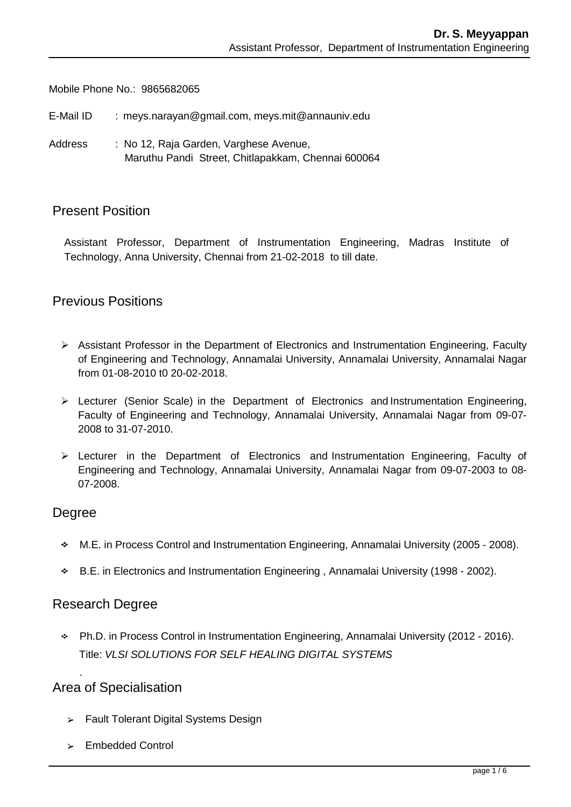Mobile Phone No.: 9865682065

E-Mail ID : [meys.narayan@gmail.com,](mailto:kamalanand@mitindia.edu) meys.mit@annauniv.edu

Address : No 12, Raja Garden, Varghese Avenue, Maruthu Pandi Street, Chitlapakkam, Chennai 600064

### Present Position

Assistant Professor, Department of Instrumentation Engineering, Madras Institute of Technology, Anna University, Chennai from 21-02-2018 to till date.

## Previous Positions

- Assistant Professor in the Department of Electronics and Instrumentation Engineering, Faculty of Engineering and Technology, Annamalai University, Annamalai University, Annamalai Nagar from 01-08-2010 t0 20-02-2018.
- $\triangleright$  Lecturer (Senior Scale) in the Department of Electronics and Instrumentation Engineering, Faculty of Engineering and Technology, Annamalai University, Annamalai Nagar from 09-07- 2008 to 31-07-2010.
- Lecturer in the Department of Electronics and Instrumentation Engineering, Faculty of Engineering and Technology, Annamalai University, Annamalai Nagar from 09-07-2003 to 08- 07-2008.

#### Degree

.

- M.E. in Process Control and Instrumentation Engineering, Annamalai University (2005 2008).
- B.E. in Electronics and Instrumentation Engineering , Annamalai University (1998 2002).

#### Research Degree

Ph.D. in Process Control in Instrumentation Engineering, Annamalai University (2012 - 2016). Title: *VLSI SOLUTIONS FOR SELF HEALING DIGITAL SYSTEMS*

## Area of Specialisation

- > Fault Tolerant Digital Systems Design
- $\geq$  Embedded Control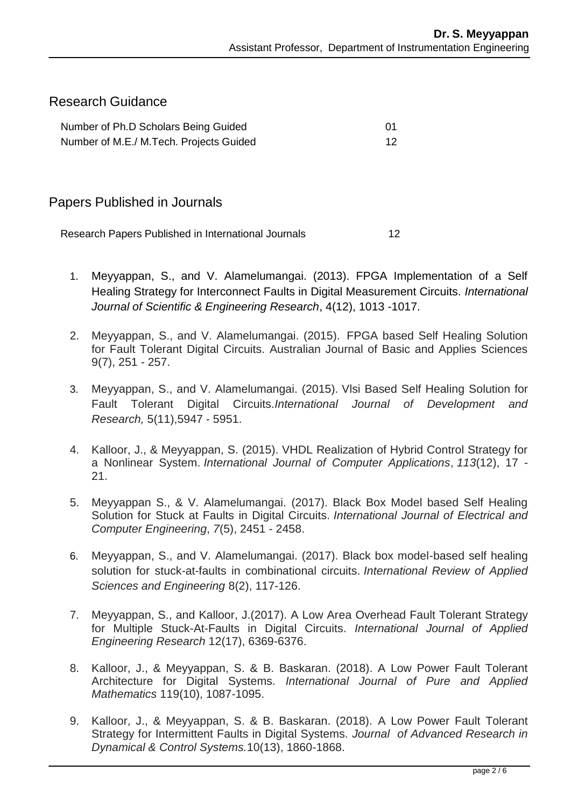## Research Guidance

| Number of Ph.D Scholars Being Guided    |  |
|-----------------------------------------|--|
| Number of M.E./ M.Tech. Projects Guided |  |

### Papers Published in Journals

Research Papers Published in International Journals 12

- 1. Meyyappan, S., and V. Alamelumangai. (2013). FPGA Implementation of a Self Healing Strategy for Interconnect Faults in Digital Measurement Circuits. *International Journal of Scientific & Engineering Research*, 4(12), 1013 -1017.
- 2. Meyyappan, S., and V. Alamelumangai. (2015). FPGA based Self Healing Solution for Fault Tolerant Digital Circuits. Australian Journal of Basic and Applies Sciences 9(7), 251 - 257.
- 3. Meyyappan, S., and V. Alamelumangai. (2015). Vlsi Based Self Healing Solution for Fault Tolerant Digital Circuits.*International Journal of Development and Research,* 5(11),5947 - 5951.
- 4. Kalloor, J., & Meyyappan, S. (2015). VHDL Realization of Hybrid Control Strategy for a Nonlinear System. *International Journal of Computer Applications*, *113*(12), 17 - 21.
- 5. Meyyappan S., & V. Alamelumangai. (2017). Black Box Model based Self Healing Solution for Stuck at Faults in Digital Circuits. *International Journal of Electrical and Computer Engineering*, *7*(5), 2451 - 2458.
- 6. Meyyappan, S., and V. Alamelumangai. (2017). Black box model-based self healing solution for stuck-at-faults in combinational circuits. *International Review of Applied Sciences and Engineering* 8(2), 117-126.
- 7. Meyyappan, S., and Kalloor, J.(2017). A Low Area Overhead Fault Tolerant Strategy for Multiple Stuck-At-Faults in Digital Circuits. *International Journal of Applied Engineering Research* 12(17), 6369-6376.
- 8. Kalloor, J., & Meyyappan, S. & B. Baskaran. (2018). A Low Power Fault Tolerant Architecture for Digital Systems. *International Journal of Pure and Applied Mathematics* 119(10), 1087-1095.
- 9. Kalloor, J., & Meyyappan, S. & B. Baskaran. (2018). A Low Power Fault Tolerant Strategy for Intermittent Faults in Digital Systems. *Journal of Advanced Research in Dynamical & Control Systems.*10(13), 1860-1868.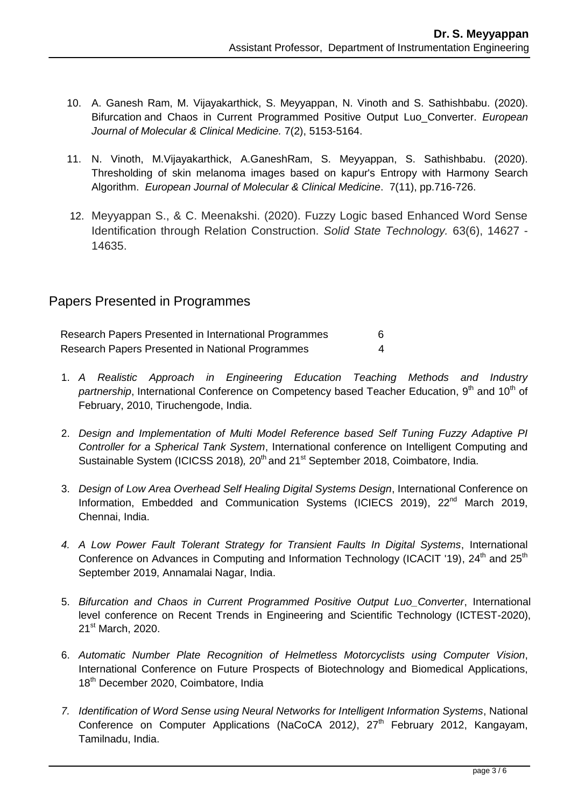- 10. A. Ganesh Ram, M. Vijayakarthick, S. Meyyappan, N. Vinoth and S. Sathishbabu. (2020). Bifurcation and Chaos in Current Programmed Positive Output Luo\_Converter. *European Journal of Molecular & Clinical Medicine.* 7(2), 5153-5164.
- 11. N. Vinoth, M.Vijayakarthick, A.GaneshRam, S. Meyyappan, S. Sathishbabu. (2020). Thresholding of skin melanoma images based on kapur's Entropy with Harmony Search Algorithm. *European Journal of Molecular & Clinical Medicine*. 7(11), pp.716-726.
- 12. Meyyappan S., & C. Meenakshi. (2020). Fuzzy Logic based Enhanced Word Sense Identification through Relation Construction. *Solid State Technology.* 63(6), 14627 - 14635.

# Papers Presented in Programmes

Research Papers Presented in International Programmes 6 Research Papers Presented in National Programmes 4

- 1. *A Realistic Approach in Engineering Education Teaching Methods and Industry partnership*, International Conference on Competency based Teacher Education, 9<sup>th</sup> and 10<sup>th</sup> of February, 2010, Tiruchengode, India.
- 2. *Design and Implementation of Multi Model Reference based Self Tuning Fuzzy Adaptive PI Controller for a Spherical Tank System*, International conference on Intelligent Computing and Sustainable System (ICICSS 2018), 20<sup>th</sup> and 21<sup>st</sup> September 2018, Coimbatore, India.
- 3. *Design of Low Area Overhead Self Healing Digital Systems Design*, International Conference on Information, Embedded and Communication Systems (ICIECS 2019), 22<sup>nd</sup> March 2019, Chennai, India.
- *4. A Low Power Fault Tolerant Strategy for Transient Faults In Digital Systems*, International Conference on Advances in Computing and Information Technology (ICACIT '19),  $24<sup>th</sup>$  and  $25<sup>th</sup>$ September 2019, Annamalai Nagar, India.
- 5. *Bifurcation and Chaos in Current Programmed Positive Output Luo\_Converter*, International level conference on Recent Trends in Engineering and Scientific Technology (ICTEST-2020), 21<sup>st</sup> March, 2020.
- 6. *Automatic Number Plate Recognition of Helmetless Motorcyclists using Computer Vision*, International Conference on Future Prospects of Biotechnology and Biomedical Applications, 18<sup>th</sup> December 2020, Coimbatore, India
- *7. Identification of Word Sense using Neural Networks for Intelligent Information Systems*, National Conference on Computer Applications (NaCoCA 2012), 27<sup>th</sup> February 2012, Kangayam, Tamilnadu, India.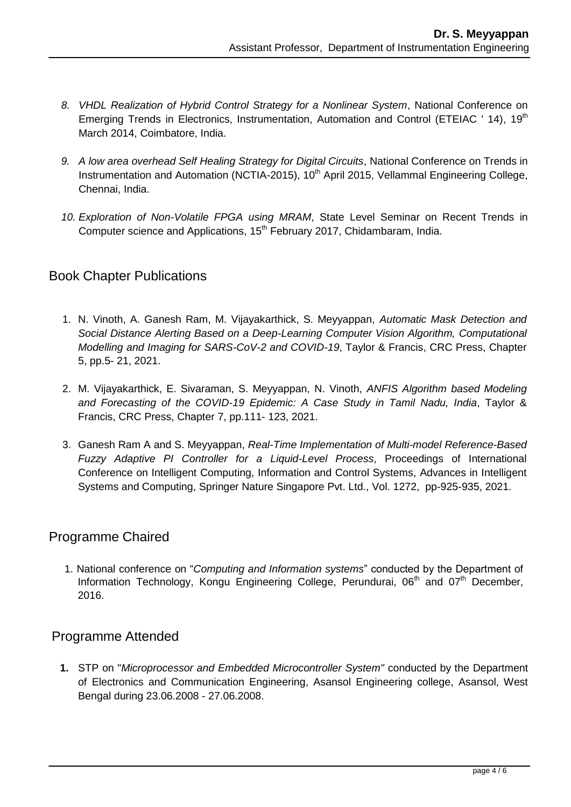- *8. VHDL Realization of Hybrid Control Strategy for a Nonlinear System*, National Conference on Emerging Trends in Electronics, Instrumentation, Automation and Control (ETEIAC ' 14), 19<sup>th</sup> March 2014, Coimbatore, India.
- *9. A low area overhead Self Healing Strategy for Digital Circuits*, National Conference on Trends in Instrumentation and Automation (NCTIA-2015),  $10<sup>th</sup>$  April 2015, Vellammal Engineering College, Chennai, India.
- *10. Exploration of Non-Volatile FPGA using MRAM*, State Level Seminar on Recent Trends in Computer science and Applications, 15<sup>th</sup> February 2017, Chidambaram, India.

## Book Chapter Publications

- 1. N. Vinoth, A. Ganesh Ram, M. Vijayakarthick, S. Meyyappan, *[Automatic Mask Detection and](https://www.taylorfrancis.com/chapters/edit/10.1201/9781003142584-5-5/automatic-mask-detection-social-distance-alerting-based-deep-learning-computer-vision-algorithm-vinoth-ganesh-ram-vijayakarthick-meyyappan?context=ubx&refId=82656512-3b9c-46d6-b9ce-2de37c14c3e7) [Social Distance Alerting Based on a Deep-Learning Computer Vision Algorithm, C](https://www.taylorfrancis.com/chapters/edit/10.1201/9781003142584-5-5/automatic-mask-detection-social-distance-alerting-based-deep-learning-computer-vision-algorithm-vinoth-ganesh-ram-vijayakarthick-meyyappan?context=ubx&refId=82656512-3b9c-46d6-b9ce-2de37c14c3e7)omputational Modelling and Imaging for SARS-CoV-2 and COVID-19*, Taylor & Francis, CRC Press, Chapter 5, pp.5- 21, 2021.
- 2. M. Vijayakarthick, E. Sivaraman, S. Meyyappan, N. Vinoth, *ANFIS Algorithm based Modeling and Forecasting of the COVID-19 Epidemic: A Case Study in Tamil Nadu, India*, Taylor & Francis, CRC Press, Chapter 7, pp.111- 123, 2021.
- 3. Ganesh Ram A and S. Meyyappan, *Real-Time Implementation of Multi-model Reference-Based Fuzzy Adaptive PI Controller for a Liquid-Level Process*, Proceedings of International Conference on Intelligent Computing, Information and Control Systems, Advances in Intelligent Systems and Computing, Springer Nature Singapore Pvt. Ltd., Vol. 1272, pp-925-935, 2021.

# Programme Chaired

1. National conference on "*Computing and Information systems*" conducted by the Department of Information Technology, Kongu Engineering College, Perundurai, 06<sup>th</sup> and 07<sup>th</sup> December, 2016.

## Programme Attended

**1.** STP on "*Microprocessor and Embedded Microcontroller System"* conducted by the Department of Electronics and Communication Engineering, Asansol Engineering college, Asansol, West Bengal during 23.06.2008 - 27.06.2008.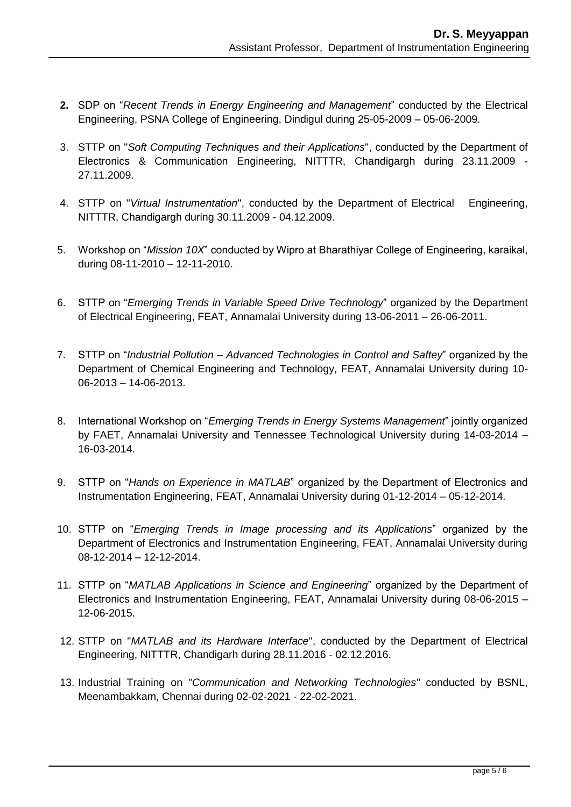- **2.** SDP on "*Recent Trends in Energy Engineering and Management*" conducted by the Electrical Engineering, PSNA College of Engineering, Dindigul during 25-05-2009 – 05-06-2009.
- 3. STTP on "*Soft Computing Techniques and their Applications*", conducted by the Department of Electronics & Communication Engineering, NITTTR, Chandigargh during 23.11.2009 - 27.11.2009.
- 4. STTP on "*Virtual Instrumentation*", conducted by the Department of Electrical Engineering, NITTTR, Chandigargh during 30.11.2009 - 04.12.2009.
- 5. Workshop on "*Mission 10X*" conducted by Wipro at Bharathiyar College of Engineering, karaikal, during 08-11-2010 – 12-11-2010.
- 6. STTP on "*Emerging Trends in Variable Speed Drive Technology*" organized by the Department of Electrical Engineering, FEAT, Annamalai University during 13-06-2011 – 26-06-2011.
- 7. STTP on "*Industrial Pollution – Advanced Technologies in Control and Saftey*" organized by the Department of Chemical Engineering and Technology, FEAT, Annamalai University during 10- 06-2013 – 14-06-2013.
- 8. International Workshop on "*Emerging Trends in Energy Systems Management*" jointly organized by FAET, Annamalai University and Tennessee Technological University during 14-03-2014 – 16-03-2014.
- 9. STTP on "*Hands on Experience in MATLAB*" organized by the Department of Electronics and Instrumentation Engineering, FEAT, Annamalai University during 01-12-2014 – 05-12-2014.
- 10. STTP on "*Emerging Trends in Image processing and its Applications*" organized by the Department of Electronics and Instrumentation Engineering, FEAT, Annamalai University during 08-12-2014 – 12-12-2014.
- 11. STTP on "*MATLAB Applications in Science and Engineering*" organized by the Department of Electronics and Instrumentation Engineering, FEAT, Annamalai University during 08-06-2015 – 12-06-2015.
- 12. STTP on "*MATLAB and its Hardware Interface*", conducted by the Department of Electrical Engineering, NITTTR, Chandigarh during 28.11.2016 - 02.12.2016.
- 13. Industrial Training on "*Communication and Networking Technologies"* conducted by BSNL, Meenambakkam, Chennai during 02-02-2021 - 22-02-2021.